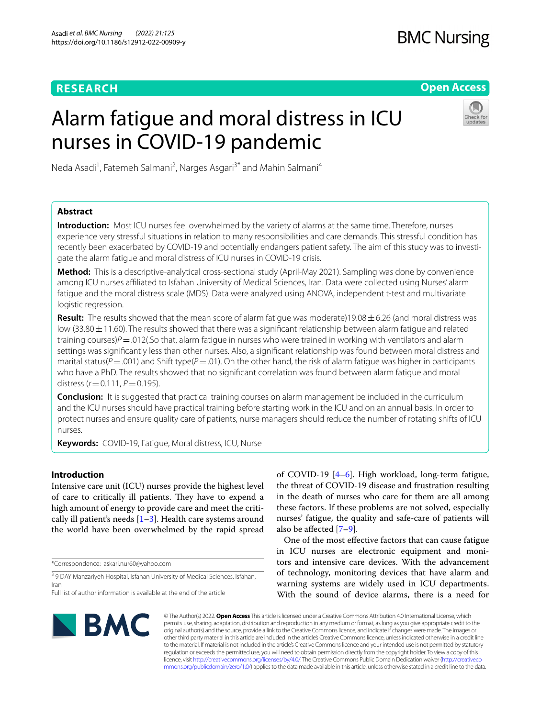# **RESEARCH**

# **BMC Nursing**

**Open Access**

# Alarm fatigue and moral distress in ICU nurses in COVID-19 pandemic



Neda Asadi<sup>1</sup>, Fatemeh Salmani<sup>2</sup>, Narges Asgari<sup>3\*</sup> and Mahin Salmani<sup>4</sup>

# **Abstract**

**Introduction:** Most ICU nurses feel overwhelmed by the variety of alarms at the same time. Therefore, nurses experience very stressful situations in relation to many responsibilities and care demands. This stressful condition has recently been exacerbated by COVID-19 and potentially endangers patient safety. The aim of this study was to investigate the alarm fatigue and moral distress of ICU nurses in COVID-19 crisis.

**Method:** This is a descriptive-analytical cross-sectional study (April-May 2021). Sampling was done by convenience among ICU nurses afliated to Isfahan University of Medical Sciences, Iran. Data were collected using Nurses' alarm fatigue and the moral distress scale (MDS). Data were analyzed using ANOVA, independent t-test and multivariate logistic regression.

**Result:** The results showed that the mean score of alarm fatigue was moderate)19.08±6.26 (and moral distress was low (33.80 $\pm$ 11.60). The results showed that there was a significant relationship between alarm fatigue and related training courses)*P*=.012(.So that, alarm fatigue in nurses who were trained in working with ventilators and alarm settings was signifcantly less than other nurses. Also, a signifcant relationship was found between moral distress and marital status( $P$  = .001) and Shift type( $P$  = .01). On the other hand, the risk of alarm fatigue was higher in participants who have a PhD. The results showed that no signifcant correlation was found between alarm fatigue and moral distress  $(r = 0.111, P = 0.195)$ .

**Conclusion:** It is suggested that practical training courses on alarm management be included in the curriculum and the ICU nurses should have practical training before starting work in the ICU and on an annual basis. In order to protect nurses and ensure quality care of patients, nurse managers should reduce the number of rotating shifts of ICU nurses.

**Keywords:** COVID-19, Fatigue, Moral distress, ICU, Nurse

# **Introduction**

Intensive care unit (ICU) nurses provide the highest level of care to critically ill patients. They have to expend a high amount of energy to provide care and meet the critically ill patient's needs  $[1-3]$  $[1-3]$  $[1-3]$ . Health care systems around the world have been overwhelmed by the rapid spread

\*Correspondence: askari.nur60@yahoo.com

<sup>3</sup> 9 DAY Manzariyeh Hospital, Isfahan University of Medical Sciences, Isfahan, Iran

of COVID-19 [\[4](#page-5-2)[–6](#page-5-3)]. High workload, long-term fatigue, the threat of COVID-19 disease and frustration resulting in the death of nurses who care for them are all among these factors. If these problems are not solved, especially nurses' fatigue, the quality and safe-care of patients will also be afected [[7–](#page-5-4)[9\]](#page-5-5).

One of the most efective factors that can cause fatigue in ICU nurses are electronic equipment and monitors and intensive care devices. With the advancement of technology, monitoring devices that have alarm and warning systems are widely used in ICU departments. With the sound of device alarms, there is a need for



© The Author(s) 2022. **Open Access** This article is licensed under a Creative Commons Attribution 4.0 International License, which permits use, sharing, adaptation, distribution and reproduction in any medium or format, as long as you give appropriate credit to the original author(s) and the source, provide a link to the Creative Commons licence, and indicate if changes were made. The images or other third party material in this article are included in the article's Creative Commons licence, unless indicated otherwise in a credit line to the material. If material is not included in the article's Creative Commons licence and your intended use is not permitted by statutory regulation or exceeds the permitted use, you will need to obtain permission directly from the copyright holder. To view a copy of this licence, visit [http://creativecommons.org/licenses/by/4.0/.](http://creativecommons.org/licenses/by/4.0/) The Creative Commons Public Domain Dedication waiver ([http://creativeco](http://creativecommons.org/publicdomain/zero/1.0/) [mmons.org/publicdomain/zero/1.0/](http://creativecommons.org/publicdomain/zero/1.0/)) applies to the data made available in this article, unless otherwise stated in a credit line to the data.

Full list of author information is available at the end of the article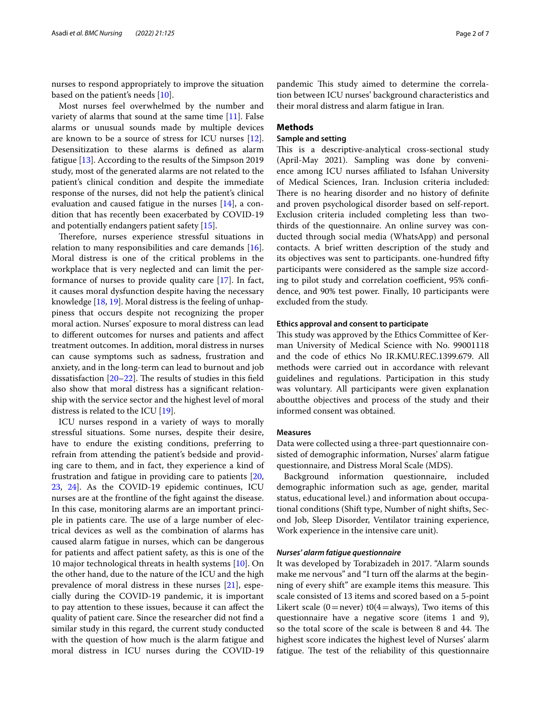nurses to respond appropriately to improve the situation based on the patient's needs [\[10](#page-5-6)].

Most nurses feel overwhelmed by the number and variety of alarms that sound at the same time  $[11]$  $[11]$ . False alarms or unusual sounds made by multiple devices are known to be a source of stress for ICU nurses [\[12](#page-5-8)]. Desensitization to these alarms is defned as alarm fatigue [[13\]](#page-5-9). According to the results of the Simpson 2019 study, most of the generated alarms are not related to the patient's clinical condition and despite the immediate response of the nurses, did not help the patient's clinical evaluation and caused fatigue in the nurses [\[14](#page-5-10)], a condition that has recently been exacerbated by COVID-19 and potentially endangers patient safety [\[15\]](#page-6-0).

Therefore, nurses experience stressful situations in relation to many responsibilities and care demands [\[16](#page-6-1)]. Moral distress is one of the critical problems in the workplace that is very neglected and can limit the performance of nurses to provide quality care [\[17\]](#page-6-2). In fact, it causes moral dysfunction despite having the necessary knowledge [\[18,](#page-6-3) [19](#page-6-4)]. Moral distress is the feeling of unhappiness that occurs despite not recognizing the proper moral action. Nurses' exposure to moral distress can lead to diferent outcomes for nurses and patients and afect treatment outcomes. In addition, moral distress in nurses can cause symptoms such as sadness, frustration and anxiety, and in the long-term can lead to burnout and job dissatisfaction  $[20-22]$  $[20-22]$  $[20-22]$ . The results of studies in this field also show that moral distress has a signifcant relationship with the service sector and the highest level of moral distress is related to the ICU [\[19\]](#page-6-4).

ICU nurses respond in a variety of ways to morally stressful situations. Some nurses, despite their desire, have to endure the existing conditions, preferring to refrain from attending the patient's bedside and providing care to them, and in fact, they experience a kind of frustration and fatigue in providing care to patients [\[20](#page-6-5), [23,](#page-6-7) [24](#page-6-8)]. As the COVID-19 epidemic continues, ICU nurses are at the frontline of the fght against the disease. In this case, monitoring alarms are an important principle in patients care. The use of a large number of electrical devices as well as the combination of alarms has caused alarm fatigue in nurses, which can be dangerous for patients and afect patient safety, as this is one of the 10 major technological threats in health systems [[10\]](#page-5-6). On the other hand, due to the nature of the ICU and the high prevalence of moral distress in these nurses [[21\]](#page-6-9), especially during the COVID-19 pandemic, it is important to pay attention to these issues, because it can afect the quality of patient care. Since the researcher did not fnd a similar study in this regard, the current study conducted with the question of how much is the alarm fatigue and moral distress in ICU nurses during the COVID-19

pandemic This study aimed to determine the correlation between ICU nurses' background characteristics and their moral distress and alarm fatigue in Iran.

# **Methods**

# **Sample and setting**

This is a descriptive-analytical cross-sectional study (April-May 2021). Sampling was done by convenience among ICU nurses afliated to Isfahan University of Medical Sciences, Iran. Inclusion criteria included: There is no hearing disorder and no history of definite and proven psychological disorder based on self-report. Exclusion criteria included completing less than twothirds of the questionnaire. An online survey was conducted through social media (WhatsApp) and personal contacts. A brief written description of the study and its objectives was sent to participants. one-hundred ffty participants were considered as the sample size according to pilot study and correlation coefficient, 95% confidence, and 90% test power. Finally, 10 participants were excluded from the study.

## **Ethics approval and consent to participate**

This study was approved by the Ethics Committee of Kerman University of Medical Science with No. 99001118 and the code of ethics No IR.KMU.REC.1399.679. All methods were carried out in accordance with relevant guidelines and regulations. Participation in this study was voluntary. All participants were given explanation aboutthe objectives and process of the study and their informed consent was obtained.

# **Measures**

Data were collected using a three-part questionnaire consisted of demographic information, Nurses' alarm fatigue questionnaire, and Distress Moral Scale (MDS).

Background information questionnaire, included demographic information such as age, gender, marital status, educational level.) and information about occupational conditions (Shift type, Number of night shifts, Second Job, Sleep Disorder, Ventilator training experience, Work experience in the intensive care unit).

## *Nurses' alarm fatigue questionnaire*

It was developed by Torabizadeh in 2017. "Alarm sounds make me nervous" and "I turn off the alarms at the beginning of every shift" are example items this measure. This scale consisted of 13 items and scored based on a 5-point Likert scale (0=never) t0(4=always), Two items of this questionnaire have a negative score (items 1 and 9), so the total score of the scale is between 8 and 44. The highest score indicates the highest level of Nurses' alarm fatigue. The test of the reliability of this questionnaire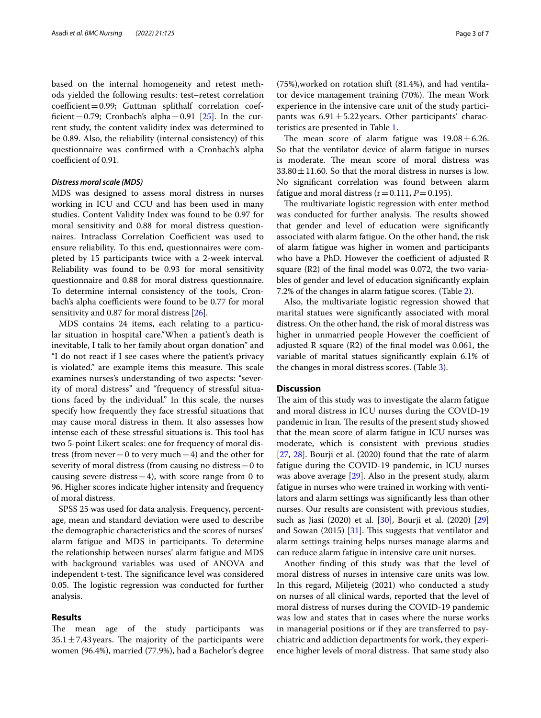based on the internal homogeneity and retest methods yielded the following results: test–retest correlation  $coefficient = 0.99$ ; Guttman splithalf correlation coef-ficient = 0.79; Cronbach's alpha = 0.91 [[25\]](#page-6-10). In the current study, the content validity index was determined to be 0.89. Also, the reliability (internal consistency) of this questionnaire was confrmed with a Cronbach's alpha coefficient of 0.91.

# *Distress moral scale (MDS)*

MDS was designed to assess moral distress in nurses working in ICU and CCU and has been used in many studies. Content Validity Index was found to be 0.97 for moral sensitivity and 0.88 for moral distress questionnaires. Intraclass Correlation Coefficient was used to ensure reliability. To this end, questionnaires were completed by 15 participants twice with a 2-week interval. Reliability was found to be 0.93 for moral sensitivity questionnaire and 0.88 for moral distress questionnaire. To determine internal consistency of the tools, Cronbach's alpha coefficients were found to be 0.77 for moral sensitivity and 0.87 for moral distress [[26\]](#page-6-11).

MDS contains 24 items, each relating to a particular situation in hospital care."When a patient's death is inevitable, I talk to her family about organ donation" and "I do not react if I see cases where the patient's privacy is violated." are example items this measure. This scale examines nurses's understanding of two aspects: "severity of moral distress" and "frequency of stressful situations faced by the individual." In this scale, the nurses specify how frequently they face stressful situations that may cause moral distress in them. It also assesses how intense each of these stressful situations is. This tool has two 5-point Likert scales: one for frequency of moral distress (from never = 0 to very much = 4) and the other for severity of moral distress (from causing no distress  $=0$  to causing severe distress  $=4$ ), with score range from 0 to 96. Higher scores indicate higher intensity and frequency of moral distress.

SPSS 25 was used for data analysis. Frequency, percentage, mean and standard deviation were used to describe the demographic characteristics and the scores of nurses' alarm fatigue and MDS in participants. To determine the relationship between nurses' alarm fatigue and MDS with background variables was used of ANOVA and independent t-test. The significance level was considered 0.05. The logistic regression was conducted for further analysis.

# **Results**

The mean age of the study participants was  $35.1 \pm 7.43$  years. The majority of the participants were women (96.4%), married (77.9%), had a Bachelor's degree (75%),worked on rotation shift (81.4%), and had ventilator device management training (70%). The mean Work experience in the intensive care unit of the study participants was  $6.91 \pm 5.22$  years. Other participants' characteristics are presented in Table [1](#page-3-0).

The mean score of alarm fatigue was  $19.08 \pm 6.26$ . So that the ventilator device of alarm fatigue in nurses is moderate. The mean score of moral distress was  $33.80 \pm 11.60$ . So that the moral distress in nurses is low. No signifcant correlation was found between alarm fatigue and moral distress  $(r=0.111, P=0.195)$ .

The multivariate logistic regression with enter method was conducted for further analysis. The results showed that gender and level of education were signifcantly associated with alarm fatigue. On the other hand, the risk of alarm fatigue was higher in women and participants who have a PhD. However the coefficient of adjusted R square (R2) of the fnal model was 0.072, the two variables of gender and level of education signifcantly explain 7.2% of the changes in alarm fatigue scores. (Table [2](#page-3-1)).

Also, the multivariate logistic regression showed that marital statues were signifcantly associated with moral distress. On the other hand, the risk of moral distress was higher in unmarried people However the coefficient of adjusted R square (R2) of the fnal model was 0.061, the variable of marital statues signifcantly explain 6.1% of the changes in moral distress scores. (Table [3](#page-4-0)).

# **Discussion**

The aim of this study was to investigate the alarm fatigue and moral distress in ICU nurses during the COVID-19 pandemic in Iran. The results of the present study showed that the mean score of alarm fatigue in ICU nurses was moderate, which is consistent with previous studies [[27,](#page-6-12) [28\]](#page-6-13). Bourji et al. (2020) found that the rate of alarm fatigue during the COVID-19 pandemic, in ICU nurses was above average [\[29](#page-6-14)]. Also in the present study, alarm fatigue in nurses who were trained in working with ventilators and alarm settings was signifcantly less than other nurses. Our results are consistent with previous studies, such as Jiasi (2020) et al. [[30\]](#page-6-15), Bourji et al. (2020) [[29](#page-6-14)] and Sowan  $(2015)$  [[31\]](#page-6-16). This suggests that ventilator and alarm settings training helps nurses manage alarms and can reduce alarm fatigue in intensive care unit nurses.

Another fnding of this study was that the level of moral distress of nurses in intensive care units was low. In this regard, Miljeteig (2021) who conducted a study on nurses of all clinical wards, reported that the level of moral distress of nurses during the COVID-19 pandemic was low and states that in cases where the nurse works in managerial positions or if they are transferred to psychiatric and addiction departments for work, they experience higher levels of moral distress. That same study also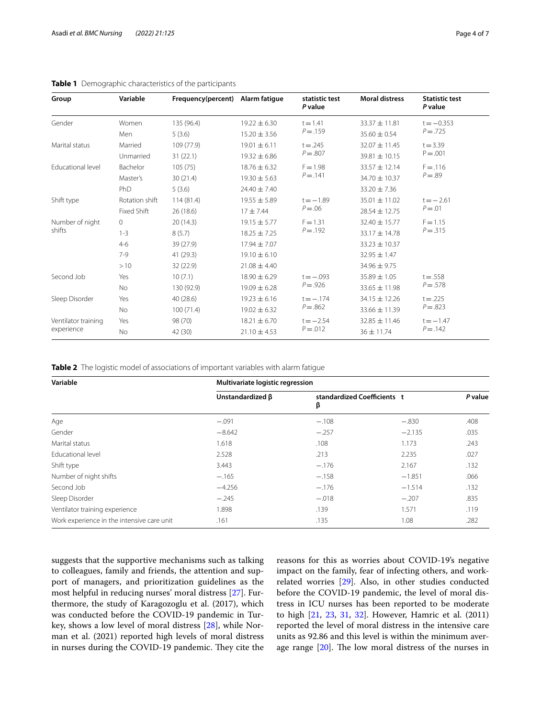# <span id="page-3-0"></span>**Table 1** Demographic characteristics of the participants

| Group                             | Variable       | Frequency(percent) Alarm fatigue |                  | statistic test<br>P value  | <b>Moral distress</b> | <b>Statistic test</b><br>P value |
|-----------------------------------|----------------|----------------------------------|------------------|----------------------------|-----------------------|----------------------------------|
| Gender                            | Women          | 135 (96.4)                       | $19.22 \pm 6.30$ | $t = 1.41$<br>$P = .159$   | 33.37 ± 11.81         | $t = -0.353$                     |
|                                   | Men            | 5(3.6)                           | $15.20 \pm 3.56$ |                            | $35.60 \pm 0.54$      | $P = .725$                       |
| Marital status                    | Married        | 109 (77.9)                       | $19.01 \pm 6.11$ | $t = .245$<br>$P = .807$   | $32.07 \pm 11.45$     | $t = 3.39$                       |
|                                   | Unmarried      | 31(22.1)                         | $19.32 \pm 6.86$ |                            | $39.81 \pm 10.15$     | $P = .001$                       |
| Educational level                 | Bachelor       | 105(75)                          | $18.76 \pm 6.32$ | $F = 1.98$                 | $33.57 \pm 12.14$     | $F = .116$                       |
|                                   | Master's       | 30(21.4)                         | $19.30 \pm 5.63$ | $P = .141$                 | $34.70 \pm 10.37$     | $P = .89$                        |
|                                   | PhD            | 5(3.6)                           | $24.40 \pm 7.40$ |                            | $33.20 \pm 7.36$      |                                  |
| Shift type                        | Rotation shift | 114(81.4)                        | $19.55 \pm 5.89$ | $t = -1.89$<br>$P = 0.06$  | 35.01 ± 11.02         | $t = -2.61$                      |
|                                   | Fixed Shift    | 26 (18.6)                        | $17 + 7.44$      |                            | 28.54 ± 12.75         | $P = .01$                        |
| Number of night<br>shifts         | $\circ$        | 20(14.3)                         | $19.15 \pm 5.77$ | $F = 1.31$<br>$P = .192$   | $32.40 \pm 15.77$     | $F = 1.15$                       |
|                                   | $1 - 3$        | 8(5.7)                           | $18.25 \pm 7.25$ |                            | 33.17 ± 14.78         | $P = .315$                       |
|                                   | $4-6$          | 39 (27.9)                        | $17.94 \pm 7.07$ |                            | $33.23 \pm 10.37$     |                                  |
|                                   | $7-9$          | 41 (29.3)                        | $19.10 \pm 6.10$ |                            | $32.95 \pm 1.47$      |                                  |
|                                   | >10            | 32 (22.9)                        | $21.08 \pm 4.40$ |                            | $34.96 \pm 9.75$      |                                  |
| Second Job                        | Yes            | 10(7.1)                          | $18.90 \pm 6.29$ | $t = -.093$<br>$P = 0.926$ | $35.89 \pm 1.05$      | $t = .558$                       |
|                                   | <b>No</b>      | 130 (92.9)                       | $19.09 \pm 6.28$ |                            | 33.65 ± 11.98         | $P = 0.578$                      |
| Sleep Disorder                    | Yes            | 40 (28.6)                        | $19.23 \pm 6.16$ | $t = -.174$<br>$P = .862$  | $34.15 \pm 12.26$     | $t = .225$                       |
|                                   | <b>No</b>      | 100(71.4)                        | $19.02 \pm 6.32$ |                            | $33.66 \pm 11.39$     | $P = .823$                       |
| Ventilator training<br>experience | Yes            | 98 (70)                          | $18.21 \pm 6.70$ | $t = -2.54$<br>$P = 0.012$ | $32.85 \pm 11.46$     | $t = -1.47$                      |
|                                   | No             | 42 (30)                          | $21.10 \pm 4.53$ |                            | $36 \pm 11.74$        | $P = .142$                       |

<span id="page-3-1"></span>**Table 2** The logistic model of associations of important variables with alarm fatigue

| Variable                                   | Multivariate logistic regression |                                  |          |         |  |
|--------------------------------------------|----------------------------------|----------------------------------|----------|---------|--|
|                                            | Unstandardized $\beta$           | standardized Coefficients t<br>β |          | P value |  |
| Age                                        | $-.091$                          | $-.108$                          | $-.830$  | .408    |  |
| Gender                                     | $-8.642$                         | $-.257$                          | $-2.135$ | .035    |  |
| Marital status                             | 1.618                            | .108                             | 1.173    | .243    |  |
| <b>Educational level</b>                   | 2.528                            | .213                             | 2.235    | .027    |  |
| Shift type                                 | 3.443                            | $-.176$                          | 2.167    | .132    |  |
| Number of night shifts                     | $-.165$                          | $-.158$                          | $-1.851$ | .066    |  |
| Second Job                                 | $-4.256$                         | $-.176$                          | $-1.514$ | .132    |  |
| Sleep Disorder                             | $-.245$                          | $-.018$                          | $-.207$  | .835    |  |
| Ventilator training experience             | 1.898                            | .139                             | 1.571    | .119    |  |
| Work experience in the intensive care unit | .161                             | .135                             | 1.08     | .282    |  |

suggests that the supportive mechanisms such as talking to colleagues, family and friends, the attention and support of managers, and prioritization guidelines as the most helpful in reducing nurses' moral distress [\[27](#page-6-12)]. Furthermore, the study of Karagozoglu et al. (2017), which was conducted before the COVID-19 pandemic in Turkey, shows a low level of moral distress [\[28](#page-6-13)], while Norman et al. (2021) reported high levels of moral distress in nurses during the COVID-19 pandemic. They cite the reasons for this as worries about COVID-19's negative impact on the family, fear of infecting others, and workrelated worries [\[29](#page-6-14)]. Also, in other studies conducted before the COVID-19 pandemic, the level of moral distress in ICU nurses has been reported to be moderate to high [\[21](#page-6-9), [23](#page-6-7), [31](#page-6-16), [32](#page-6-17)]. However, Hamric et al. (2011) reported the level of moral distress in the intensive care units as 92.86 and this level is within the minimum average range  $[20]$  $[20]$ . The low moral distress of the nurses in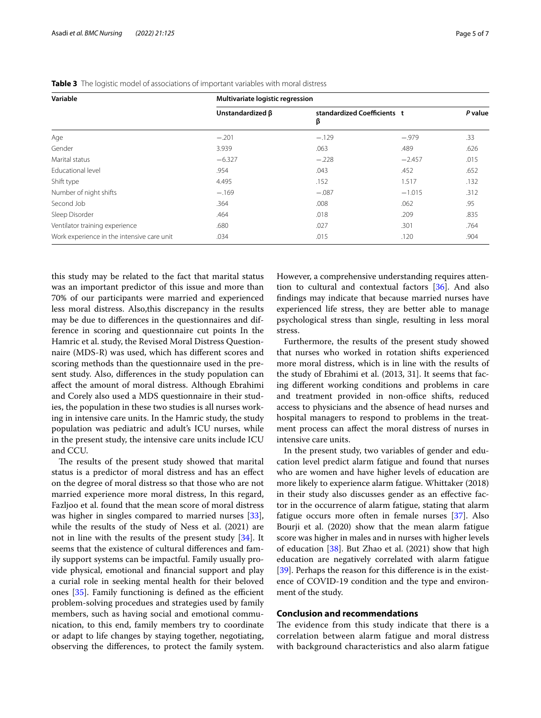| Variable                                   | Multivariate logistic regression |                                  |          |         |  |  |
|--------------------------------------------|----------------------------------|----------------------------------|----------|---------|--|--|
|                                            | Unstandardized $\beta$           | standardized Coefficients t<br>β |          | P value |  |  |
| Age                                        | $-.201$                          | $-.129$                          | $-.979$  | .33     |  |  |
| Gender                                     | 3.939                            | .063                             | .489     | .626    |  |  |
| Marital status                             | $-6.327$                         | $-.228$                          | $-2.457$ | .015    |  |  |
| <b>Educational level</b>                   | .954                             | .043                             | .452     | .652    |  |  |
| Shift type                                 | 4.495                            | .152                             | 1.517    | .132    |  |  |
| Number of night shifts                     | $-.169$                          | $-.087$                          | $-1.015$ | .312    |  |  |
| Second Job                                 | .364                             | .008                             | .062     | .95     |  |  |
| Sleep Disorder                             | .464                             | .018                             | .209     | .835    |  |  |
| Ventilator training experience             | .680                             | .027                             | .301     | .764    |  |  |
| Work experience in the intensive care unit | .034                             | .015                             | .120     | .904    |  |  |

<span id="page-4-0"></span>**Table 3** The logistic model of associations of important variables with moral distress

this study may be related to the fact that marital status was an important predictor of this issue and more than 70% of our participants were married and experienced less moral distress. Also,this discrepancy in the results may be due to diferences in the questionnaires and difference in scoring and questionnaire cut points In the Hamric et al. study, the Revised Moral Distress Questionnaire (MDS-R) was used, which has diferent scores and scoring methods than the questionnaire used in the present study. Also, diferences in the study population can afect the amount of moral distress. Although Ebrahimi and Corely also used a MDS questionnaire in their studies, the population in these two studies is all nurses working in intensive care units. In the Hamric study, the study population was pediatric and adult's ICU nurses, while in the present study, the intensive care units include ICU and CCU.

The results of the present study showed that marital status is a predictor of moral distress and has an efect on the degree of moral distress so that those who are not married experience more moral distress, In this regard, Fazljoo et al. found that the mean score of moral distress was higher in singles compared to married nurses [\[33](#page-6-18)], while the results of the study of Ness et al. (2021) are not in line with the results of the present study [\[34](#page-6-19)]. It seems that the existence of cultural diferences and family support systems can be impactful. Family usually provide physical, emotional and fnancial support and play a curial role in seeking mental health for their beloved ones  $[35]$  $[35]$  $[35]$ . Family functioning is defined as the efficient problem-solving procedues and strategies used by family members, such as having social and emotional communication, to this end, family members try to coordinate or adapt to life changes by staying together, negotiating, observing the diferences, to protect the family system. However, a comprehensive understanding requires attention to cultural and contextual factors [[36\]](#page-6-21). And also fndings may indicate that because married nurses have experienced life stress, they are better able to manage psychological stress than single, resulting in less moral stress.

Furthermore, the results of the present study showed that nurses who worked in rotation shifts experienced more moral distress, which is in line with the results of the study of Ebrahimi et al. (2013, 31]. It seems that facing diferent working conditions and problems in care and treatment provided in non-office shifts, reduced access to physicians and the absence of head nurses and hospital managers to respond to problems in the treatment process can afect the moral distress of nurses in intensive care units.

In the present study, two variables of gender and education level predict alarm fatigue and found that nurses who are women and have higher levels of education are more likely to experience alarm fatigue. Whittaker (2018) in their study also discusses gender as an efective factor in the occurrence of alarm fatigue, stating that alarm fatigue occurs more often in female nurses [\[37\]](#page-6-22). Also Bourji et al. (2020) show that the mean alarm fatigue score was higher in males and in nurses with higher levels of education [[38\]](#page-6-23). But Zhao et al. (2021) show that high education are negatively correlated with alarm fatigue [[39\]](#page-6-24). Perhaps the reason for this difference is in the existence of COVID-19 condition and the type and environment of the study.

# **Conclusion and recommendations**

The evidence from this study indicate that there is a correlation between alarm fatigue and moral distress with background characteristics and also alarm fatigue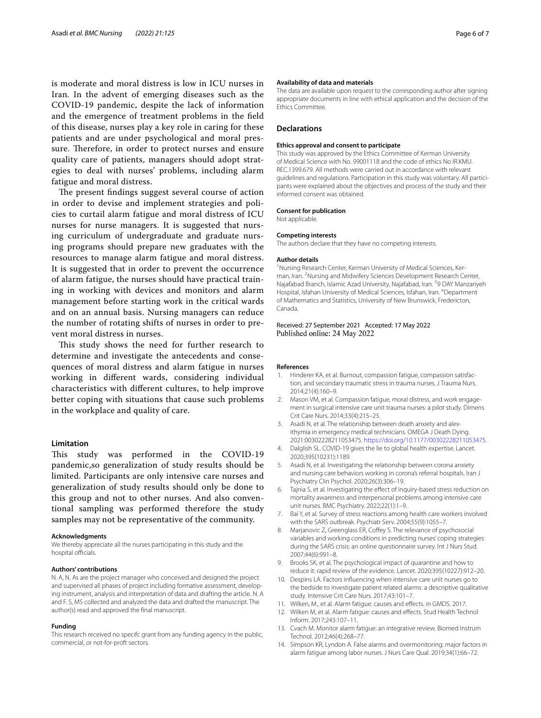is moderate and moral distress is low in ICU nurses in Iran. In the advent of emerging diseases such as the COVID-19 pandemic, despite the lack of information and the emergence of treatment problems in the feld of this disease, nurses play a key role in caring for these patients and are under psychological and moral pressure. Therefore, in order to protect nurses and ensure quality care of patients, managers should adopt strategies to deal with nurses' problems, including alarm fatigue and moral distress.

The present findings suggest several course of action in order to devise and implement strategies and policies to curtail alarm fatigue and moral distress of ICU nurses for nurse managers. It is suggested that nursing curriculum of undergraduate and graduate nursing programs should prepare new graduates with the resources to manage alarm fatigue and moral distress. It is suggested that in order to prevent the occurrence of alarm fatigue, the nurses should have practical training in working with devices and monitors and alarm management before starting work in the critical wards and on an annual basis. Nursing managers can reduce the number of rotating shifts of nurses in order to prevent moral distress in nurses.

This study shows the need for further research to determine and investigate the antecedents and consequences of moral distress and alarm fatigue in nurses working in diferent wards, considering individual characteristics with diferent cultures, to help improve better coping with situations that cause such problems in the workplace and quality of care.

# **Limitation**

This study was performed in the COVID-19 pandemic,so generalization of study results should be limited. Participants are only intensive care nurses and generalization of study results should only be done to this group and not to other nurses. And also conventional sampling was performed therefore the study samples may not be representative of the community.

#### **Acknowledgments**

We thereby appreciate all the nurses participating in this study and the hospital officials.

#### **Authors' contributions**

N. A, N. As are the project manager who conceived and designed the project and supervised all phases of project including formative assessment, developing instrument, analysis and interpretation of data and drafting the article. N. A and F. S, MS collected and analyzed the data and drafted the manuscript. The author(s) read and approved the fnal manuscript.

#### **Funding**

This research received no specifc grant from any funding agency in the public, commercial, or not-for-proft sectors.

#### **Availability of data and materials**

The data are available upon request to the corresponding author after signing appropriate documents in line with ethical application and the decision of the Ethics Committee.

#### **Declarations**

#### **Ethics approval and consent to participate**

This study was approved by the Ethics Committee of Kerman University of Medical Science with No. 99001118 and the code of ethics No IR.KMU. REC.1399.679. All methods were carried out in accordance with relevant guidelines and regulations. Participation in this study was voluntary. All participants were explained about the objectives and process of the study and their informed consent was obtained.

## **Consent for publication**

Not applicable.

#### **Competing interests**

The authors declare that they have no competing interests.

#### **Author details**

<sup>1</sup> Nursing Research Center, Kerman University of Medical Sciences, Kerman, Iran. <sup>2</sup> Nursing and Midwifery Sciences Development Research Center, Najafabad Branch, Islamic Azad University, Najafabad, Iran. <sup>3</sup>9 DAY Manzariyeh Hospital, Isfahan University of Medical Sciences, Isfahan, Iran. <sup>4</sup>Department of Mathematics and Statistics, University of New Brunswick, Fredericton, Canada.

## Received: 27 September 2021 Accepted: 17 May 2022 Published online: 24 May 2022

#### **References**

- <span id="page-5-0"></span>1. Hinderer KA, et al. Burnout, compassion fatigue, compassion satisfaction, and secondary traumatic stress in trauma nurses. J Trauma Nurs. 2014;21(4):160–9.
- 2. Mason VM, et al. Compassion fatigue, moral distress, and work engagement in surgical intensive care unit trauma nurses: a pilot study. Dimens Crit Care Nurs. 2014;33(4):215–25.
- <span id="page-5-1"></span>3. Asadi N, et al. The relationship between death anxiety and alexithymia in emergency medical technicians. OMEGA J Death Dying. 2021:00302228211053475. [https://doi.org/10.1177/00302228211053475.](https://doi.org/10.1177/00302228211053475)
- <span id="page-5-2"></span>4. Dalglish SL. COVID-19 gives the lie to global health expertise. Lancet. 2020;395(10231):1189.
- 5. Asadi N, et al. Investigating the relationship between corona anxiety and nursing care behaviors working in corona's referral hospitals. Iran J Psychiatry Clin Psychol. 2020;26(3):306–19.
- <span id="page-5-3"></span>6. Tajnia S, et al. Investigating the efect of inquiry-based stress reduction on mortality awareness and interpersonal problems among intensive care unit nurses. BMC Psychiatry. 2022;22(1):1–9.
- <span id="page-5-4"></span>7. Bai Y, et al. Survey of stress reactions among health care workers involved with the SARS outbreak. Psychiatr Serv. 2004;55(9):1055–7.
- Marjanovic Z, Greenglass ER, Coffey S. The relevance of psychosocial variables and working conditions in predicting nurses' coping strategies during the SARS crisis: an online questionnaire survey. Int J Nurs Stud. 2007;44(6):991–8.
- <span id="page-5-5"></span>9. Brooks SK, et al. The psychological impact of quarantine and how to reduce it: rapid review of the evidence. Lancet. 2020;395(10227):912–20.
- <span id="page-5-6"></span>10. Despins LA. Factors infuencing when intensive care unit nurses go to the bedside to investigate patient related alarms: a descriptive qualitative study. Intensive Crit Care Nurs. 2017;43:101–7.
- <span id="page-5-7"></span>11. Wilken, M., et al. Alarm fatigue: causes and efects. in GMDS. 2017.
- <span id="page-5-8"></span>12. Wilken M, et al. Alarm fatigue: causes and efects. Stud Health Technol Inform. 2017;243:107–11.
- <span id="page-5-9"></span>13. Cvach M. Monitor alarm fatigue: an integrative review. Biomed Instrum Technol. 2012;46(4):268–77.
- <span id="page-5-10"></span>14. Simpson KR, Lyndon A. False alarms and overmonitoring: major factors in alarm fatigue among labor nurses. J Nurs Care Qual. 2019;34(1):66–72.